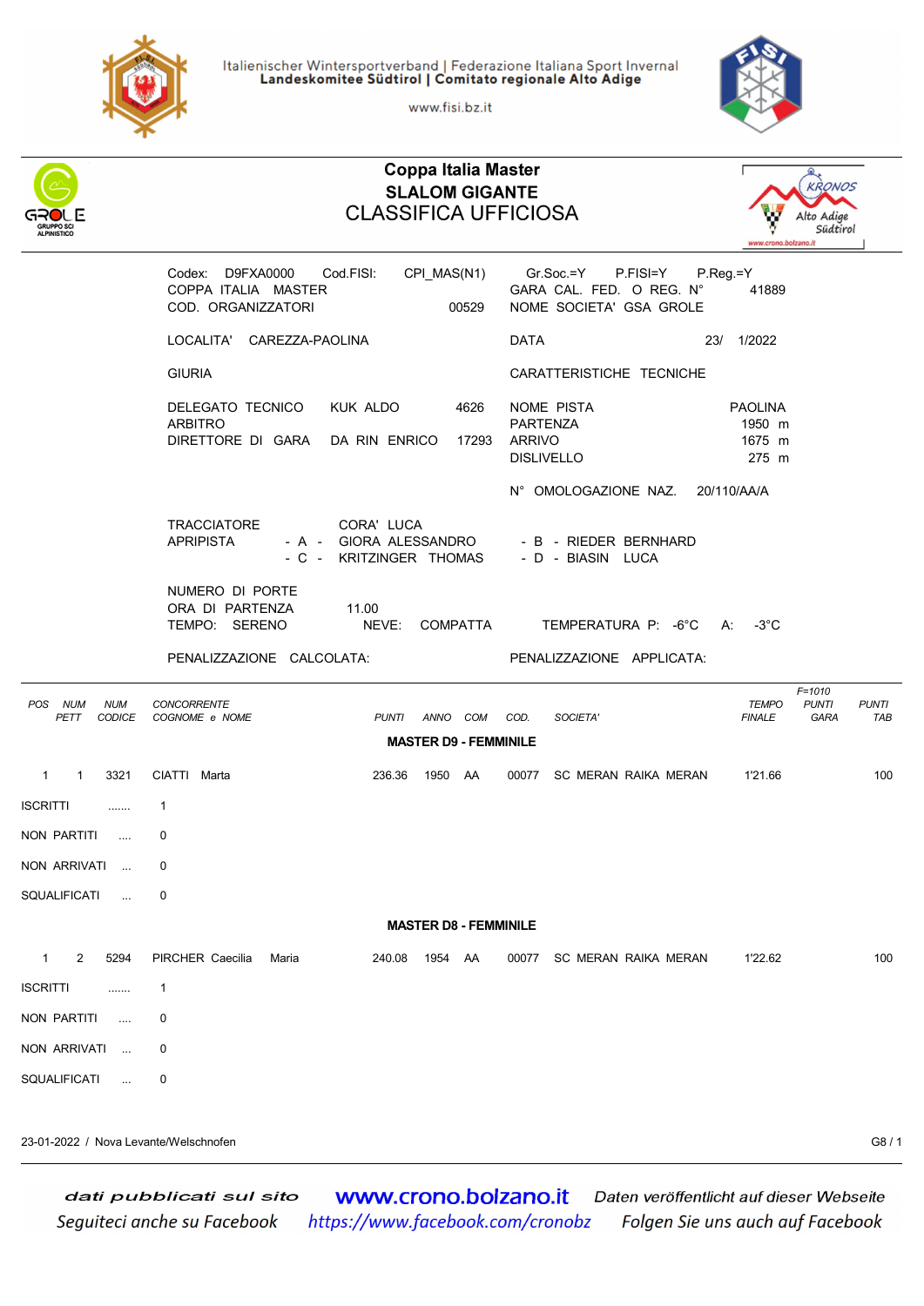

Italienischer Wintersportverband | Federazione Italiana Sport Invernal Landeskomitee Südtirol | Comitato regionale Alto Adige

www.fisi.bz.it

Coppa Italia Master



## **KRONOS** SLALOM GIGANTE CLASSIFICA UFFICIOSA Alto Adige Südtirol Codex: D9FXA0000 Cod.FISI: CPI\_MAS(N1) Gr.Soc.=Y P.FISI=Y P.Reg.=Y COPPA ITALIA MASTER GARA CAL. FED. O REG. N° 41889 COD. ORGANIZZATORI 00529 NOME SOCIETA' GSA GROLE LOCALITA' CAREZZA-PAOLINA DATA 23/ 1/2022 GIURIA CARATTERISTICHE TECNICHE DELEGATO TECNICO KUK ALDO 4626 NOME PISTA PAOLINA ARBITRO 1950 m DIRETTORE DI GARA DA RIN ENRICO 17293 ARRIVO 1675 m DISLIVELLO 275 m N° OMOLOGAZIONE NAZ. 20/110/AA/A TRACCIATORE CORA' LUCA - B - RIEDER BERNHARD - C - KRITZINGER THOMAS - D - BIASIN LUCA NUMERO DI PORTE ORA DI PARTENZA 11.00<br>TEMPO: SERENO NE NEVE: COMPATTA TEMPERATURA P: -6°C A: -3°C PENALIZZAZIONE CALCOLATA: PENALIZZAZIONE APPLICATA: **F=1010**<br>PUNTI POS NUM NUM CONCORRENTE PETT CODICE COGNOME e NOME TAB PUNTI ANNO COM COD. SOCIETA' TAB FINALE GARA TAB MASTER D9 - FEMMINILE 1 1 3321 CIATTI Marta 236.36 1950 AA 00077 SC MERAN RAIKA MERAN 1'21.66 100 ISCRITTI ....... 1 NON PARTITI .... 0 NON ARRIVATI ... 0 SQUALIFICATI ... 0 MASTER D8 - FEMMINILE 1 2 5294 PIRCHER Caecilia Maria 240.08 1954 AA 00077 SC MERAN RAIKA MERAN 1'22.62 100 ISCRITTI ....... 1 NON PARTITI .... 0 NON ARRIVATI ... 0 SQUALIFICATI ... 0

23-01-2022 / Nova Levante/Welschnofen G8 / 1

www.crono.bolzano.it dati pubblicati sul sito Daten veröffentlicht auf dieser Webseite Seguiteci anche su Facebook https://www.facebook.com/cronobz Folgen Sie uns auch auf Facebook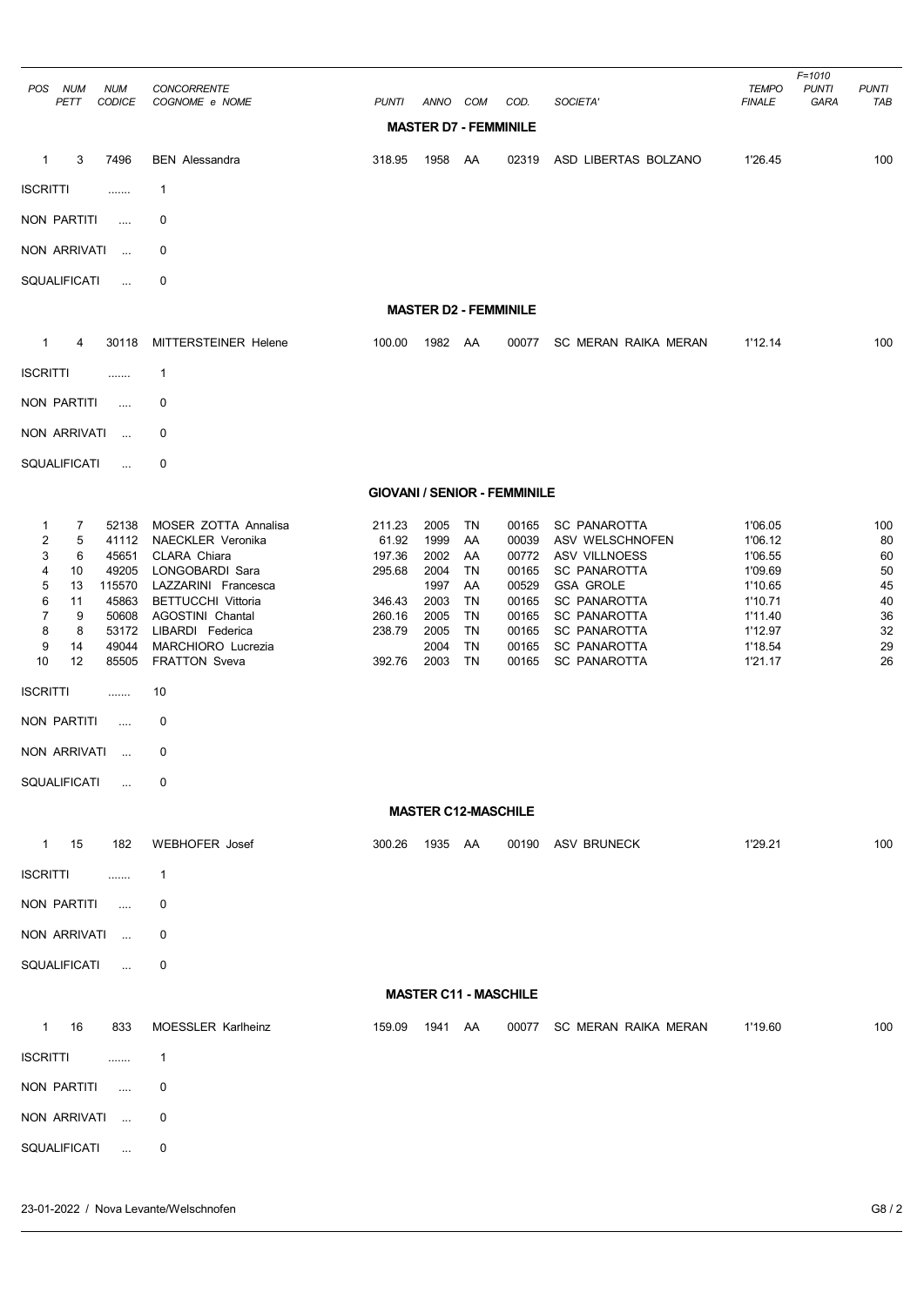| POS NUM<br><b>NUM</b><br><b>CODICE</b><br>PETT                                                                                                                                                                                                                                                        | CONCORRENTE<br>COGNOME e NOME                                                                                                                                                                                                          | <b>PUNTI</b>                                                                | ANNO                                                                         | COM                                                                           | COD.                                                                                   | SOCIETA'                                                                                                                                                                                                              | <b>TEMPO</b><br><b>FINALE</b>                                                                              | $F = 1010$<br><b>PUNTI</b><br>GARA | <b>PUNTI</b><br>TAB                                       |  |  |
|-------------------------------------------------------------------------------------------------------------------------------------------------------------------------------------------------------------------------------------------------------------------------------------------------------|----------------------------------------------------------------------------------------------------------------------------------------------------------------------------------------------------------------------------------------|-----------------------------------------------------------------------------|------------------------------------------------------------------------------|-------------------------------------------------------------------------------|----------------------------------------------------------------------------------------|-----------------------------------------------------------------------------------------------------------------------------------------------------------------------------------------------------------------------|------------------------------------------------------------------------------------------------------------|------------------------------------|-----------------------------------------------------------|--|--|
| <b>MASTER D7 - FEMMINILE</b>                                                                                                                                                                                                                                                                          |                                                                                                                                                                                                                                        |                                                                             |                                                                              |                                                                               |                                                                                        |                                                                                                                                                                                                                       |                                                                                                            |                                    |                                                           |  |  |
| 3<br>7496<br>$\mathbf{1}$                                                                                                                                                                                                                                                                             | <b>BEN</b> Alessandra                                                                                                                                                                                                                  | 318.95                                                                      | 1958                                                                         | AA                                                                            | 02319                                                                                  | ASD LIBERTAS BOLZANO                                                                                                                                                                                                  | 1'26.45                                                                                                    |                                    | 100                                                       |  |  |
| <b>ISCRITTI</b><br>.                                                                                                                                                                                                                                                                                  | 1                                                                                                                                                                                                                                      |                                                                             |                                                                              |                                                                               |                                                                                        |                                                                                                                                                                                                                       |                                                                                                            |                                    |                                                           |  |  |
| NON PARTITI<br>$\cdots$                                                                                                                                                                                                                                                                               | 0                                                                                                                                                                                                                                      |                                                                             |                                                                              |                                                                               |                                                                                        |                                                                                                                                                                                                                       |                                                                                                            |                                    |                                                           |  |  |
| NON ARRIVATI<br>$\cdots$                                                                                                                                                                                                                                                                              | 0                                                                                                                                                                                                                                      |                                                                             |                                                                              |                                                                               |                                                                                        |                                                                                                                                                                                                                       |                                                                                                            |                                    |                                                           |  |  |
| SQUALIFICATI<br>$\ddotsc$                                                                                                                                                                                                                                                                             | 0                                                                                                                                                                                                                                      |                                                                             |                                                                              |                                                                               |                                                                                        |                                                                                                                                                                                                                       |                                                                                                            |                                    |                                                           |  |  |
|                                                                                                                                                                                                                                                                                                       |                                                                                                                                                                                                                                        |                                                                             |                                                                              | <b>MASTER D2 - FEMMINILE</b>                                                  |                                                                                        |                                                                                                                                                                                                                       |                                                                                                            |                                    |                                                           |  |  |
| $\mathbf{1}$<br>4<br>30118                                                                                                                                                                                                                                                                            | MITTERSTEINER Helene                                                                                                                                                                                                                   | 100.00                                                                      | 1982 AA                                                                      |                                                                               | 00077                                                                                  | SC MERAN RAIKA MERAN                                                                                                                                                                                                  | 1'12.14                                                                                                    |                                    | 100                                                       |  |  |
| <b>ISCRITTI</b><br>                                                                                                                                                                                                                                                                                   | 1                                                                                                                                                                                                                                      |                                                                             |                                                                              |                                                                               |                                                                                        |                                                                                                                                                                                                                       |                                                                                                            |                                    |                                                           |  |  |
| <b>NON PARTITI</b><br>                                                                                                                                                                                                                                                                                | 0                                                                                                                                                                                                                                      |                                                                             |                                                                              |                                                                               |                                                                                        |                                                                                                                                                                                                                       |                                                                                                            |                                    |                                                           |  |  |
| NON ARRIVATI<br>$\cdots$                                                                                                                                                                                                                                                                              | 0                                                                                                                                                                                                                                      |                                                                             |                                                                              |                                                                               |                                                                                        |                                                                                                                                                                                                                       |                                                                                                            |                                    |                                                           |  |  |
| SQUALIFICATI<br>$\cdots$                                                                                                                                                                                                                                                                              | 0                                                                                                                                                                                                                                      |                                                                             |                                                                              |                                                                               |                                                                                        |                                                                                                                                                                                                                       |                                                                                                            |                                    |                                                           |  |  |
|                                                                                                                                                                                                                                                                                                       |                                                                                                                                                                                                                                        | <b>GIOVANI / SENIOR - FEMMINILE</b>                                         |                                                                              |                                                                               |                                                                                        |                                                                                                                                                                                                                       |                                                                                                            |                                    |                                                           |  |  |
| 52138<br>1<br>7<br>$\overline{\mathbf{c}}$<br>5<br>41112<br>3<br>6<br>45651<br>4<br>10<br>49205<br>5<br>13<br>115570<br>6<br>11<br>45863<br>7<br>9<br>50608<br>8<br>8<br>53172<br>9<br>49044<br>14<br>10<br>12<br>85505<br><b>ISCRITTI</b><br><br>NON PARTITI<br>$\cdots$<br>NON ARRIVATI<br>$\cdots$ | MOSER ZOTTA Annalisa<br>NAECKLER Veronika<br>CLARA Chiara<br>LONGOBARDI Sara<br>LAZZARINI Francesca<br><b>BETTUCCHI Vittoria</b><br>AGOSTINI Chantal<br>LIBARDI Federica<br>MARCHIORO Lucrezia<br><b>FRATTON Sveva</b><br>10<br>0<br>0 | 211.23<br>61.92<br>197.36<br>295.68<br>346.43<br>260.16<br>238.79<br>392.76 | 2005<br>1999<br>2002<br>2004<br>1997<br>2003<br>2005<br>2005<br>2004<br>2003 | TN<br>AA<br>AA<br><b>TN</b><br>AA<br>TN<br><b>TN</b><br>TN<br><b>TN</b><br>TN | 00165<br>00039<br>00772<br>00165<br>00529<br>00165<br>00165<br>00165<br>00165<br>00165 | <b>SC PANAROTTA</b><br>ASV WELSCHNOFEN<br>ASV VILLNOESS<br><b>SC PANAROTTA</b><br><b>GSA GROLE</b><br><b>SC PANAROTTA</b><br><b>SC PANAROTTA</b><br><b>SC PANAROTTA</b><br><b>SC PANAROTTA</b><br><b>SC PANAROTTA</b> | 1'06.05<br>1'06.12<br>1'06.55<br>1'09.69<br>1'10.65<br>1'10.71<br>1'11.40<br>1'12.97<br>1'18.54<br>1'21.17 |                                    | 100<br>80<br>60<br>50<br>45<br>40<br>36<br>32<br>29<br>26 |  |  |
| <b>SQUALIFICATI</b><br>in.                                                                                                                                                                                                                                                                            | 0                                                                                                                                                                                                                                      |                                                                             |                                                                              |                                                                               |                                                                                        |                                                                                                                                                                                                                       |                                                                                                            |                                    |                                                           |  |  |
|                                                                                                                                                                                                                                                                                                       |                                                                                                                                                                                                                                        |                                                                             |                                                                              | <b>MASTER C12-MASCHILE</b>                                                    |                                                                                        |                                                                                                                                                                                                                       |                                                                                                            |                                    |                                                           |  |  |
| 1 15<br>182                                                                                                                                                                                                                                                                                           | <b>WEBHOFER Josef</b>                                                                                                                                                                                                                  | 300.26                                                                      | 1935 AA                                                                      |                                                                               |                                                                                        | 00190 ASV BRUNECK                                                                                                                                                                                                     | 1'29.21                                                                                                    |                                    | 100                                                       |  |  |
| <b>ISCRITTI</b><br>.                                                                                                                                                                                                                                                                                  | $\mathbf{1}$                                                                                                                                                                                                                           |                                                                             |                                                                              |                                                                               |                                                                                        |                                                                                                                                                                                                                       |                                                                                                            |                                    |                                                           |  |  |
| NON PARTITI<br>$\cdots$                                                                                                                                                                                                                                                                               | 0                                                                                                                                                                                                                                      |                                                                             |                                                                              |                                                                               |                                                                                        |                                                                                                                                                                                                                       |                                                                                                            |                                    |                                                           |  |  |
| NON ARRIVATI                                                                                                                                                                                                                                                                                          | 0                                                                                                                                                                                                                                      |                                                                             |                                                                              |                                                                               |                                                                                        |                                                                                                                                                                                                                       |                                                                                                            |                                    |                                                           |  |  |
| SQUALIFICATI<br>$\mathbf{r}_{\mathrm{max}}$                                                                                                                                                                                                                                                           | 0                                                                                                                                                                                                                                      |                                                                             |                                                                              |                                                                               |                                                                                        |                                                                                                                                                                                                                       |                                                                                                            |                                    |                                                           |  |  |
|                                                                                                                                                                                                                                                                                                       |                                                                                                                                                                                                                                        |                                                                             |                                                                              | <b>MASTER C11 - MASCHILE</b>                                                  |                                                                                        |                                                                                                                                                                                                                       |                                                                                                            |                                    |                                                           |  |  |
| 1 16<br>833                                                                                                                                                                                                                                                                                           | MOESSLER Karlheinz                                                                                                                                                                                                                     | 159.09                                                                      | 1941 AA                                                                      |                                                                               |                                                                                        | 00077 SC MERAN RAIKA MERAN                                                                                                                                                                                            | 1'19.60                                                                                                    |                                    | 100                                                       |  |  |
| <b>ISCRITTI</b><br>.                                                                                                                                                                                                                                                                                  | $\mathbf{1}$                                                                                                                                                                                                                           |                                                                             |                                                                              |                                                                               |                                                                                        |                                                                                                                                                                                                                       |                                                                                                            |                                    |                                                           |  |  |
| NON PARTITI<br>$\cdots$                                                                                                                                                                                                                                                                               | 0                                                                                                                                                                                                                                      |                                                                             |                                                                              |                                                                               |                                                                                        |                                                                                                                                                                                                                       |                                                                                                            |                                    |                                                           |  |  |
| NON ARRIVATI                                                                                                                                                                                                                                                                                          | 0                                                                                                                                                                                                                                      |                                                                             |                                                                              |                                                                               |                                                                                        |                                                                                                                                                                                                                       |                                                                                                            |                                    |                                                           |  |  |
| SQUALIFICATI<br>$\ldots$                                                                                                                                                                                                                                                                              | 0                                                                                                                                                                                                                                      |                                                                             |                                                                              |                                                                               |                                                                                        |                                                                                                                                                                                                                       |                                                                                                            |                                    |                                                           |  |  |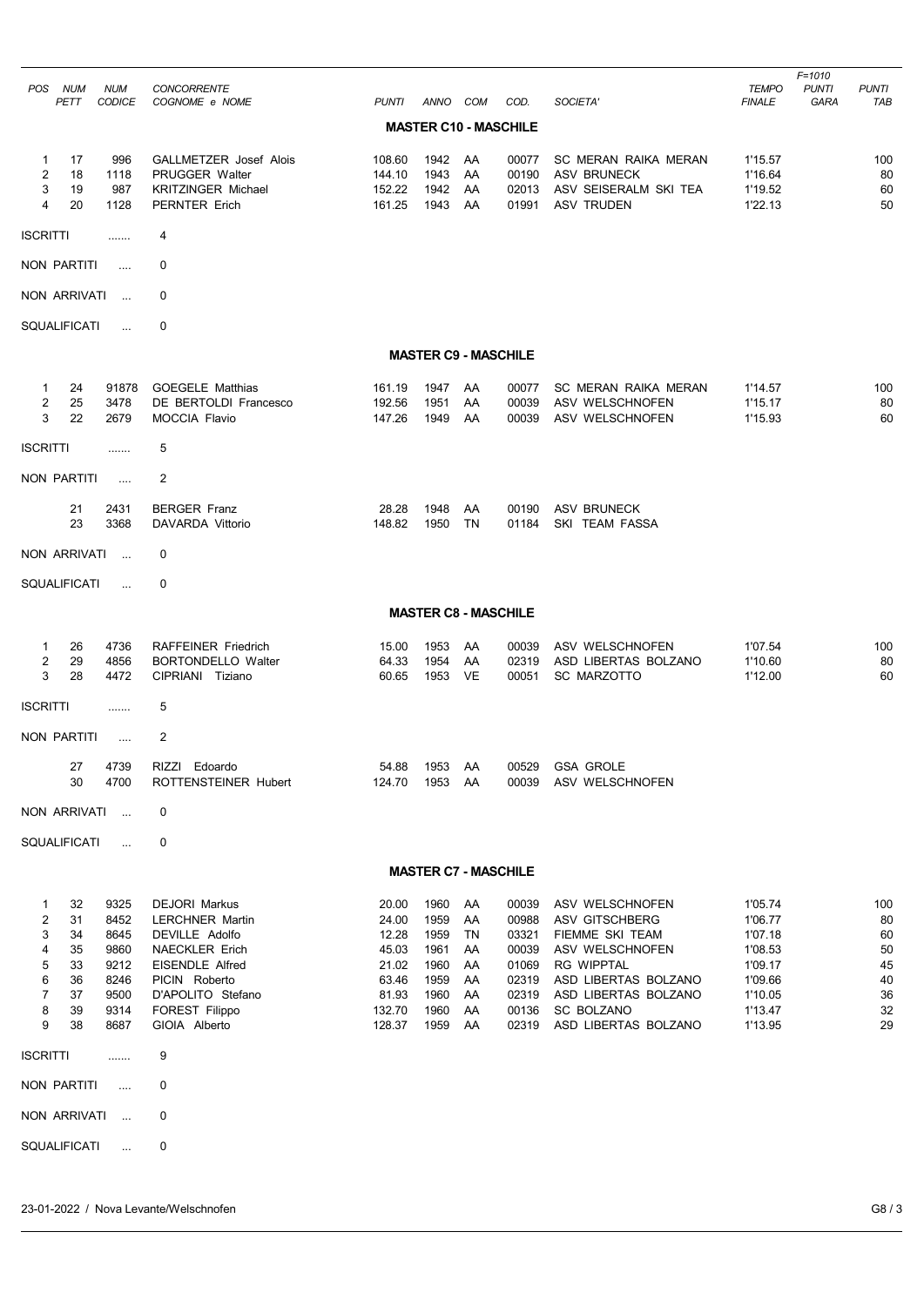| <b>POS</b>                                                          | <b>NUM</b>                                         | <b>NUM</b>                                                           | <b>CONCORRENTE</b>                                                                                                                                                                           |                                                                                 |                                                                      |                                                    |                                                                               |                                                                                                                                                                                           | <b>TEMPO</b>                                                                                    | $F = 1010$<br><b>PUNTI</b> | <b>PUNTI</b>                                        |
|---------------------------------------------------------------------|----------------------------------------------------|----------------------------------------------------------------------|----------------------------------------------------------------------------------------------------------------------------------------------------------------------------------------------|---------------------------------------------------------------------------------|----------------------------------------------------------------------|----------------------------------------------------|-------------------------------------------------------------------------------|-------------------------------------------------------------------------------------------------------------------------------------------------------------------------------------------|-------------------------------------------------------------------------------------------------|----------------------------|-----------------------------------------------------|
|                                                                     | PETT                                               | <b>CODICE</b>                                                        | COGNOME e NOME                                                                                                                                                                               | PUNTI                                                                           | ANNO COM                                                             |                                                    | COD.                                                                          | SOCIETA'                                                                                                                                                                                  | <b>FINALE</b>                                                                                   | GARA                       | TAB                                                 |
|                                                                     |                                                    |                                                                      |                                                                                                                                                                                              |                                                                                 |                                                                      |                                                    | <b>MASTER C10 - MASCHILE</b>                                                  |                                                                                                                                                                                           |                                                                                                 |                            |                                                     |
| $\mathbf{1}$<br>$\overline{c}$<br>3<br>4                            | 17<br>18<br>19<br>20                               | 996<br>1118<br>987<br>1128                                           | GALLMETZER Josef Alois<br>PRUGGER Walter<br><b>KRITZINGER Michael</b><br>PERNTER Erich                                                                                                       | 108.60<br>144.10<br>152.22<br>161.25                                            | 1942<br>1943<br>1942<br>1943                                         | AA<br>AA<br>AA<br>AA                               | 00077<br>00190<br>02013<br>01991                                              | SC MERAN RAIKA MERAN<br><b>ASV BRUNECK</b><br>ASV SEISERALM SKI TEA<br><b>ASV TRUDEN</b>                                                                                                  | 1'15.57<br>1'16.64<br>1'19.52<br>1'22.13                                                        |                            | 100<br>80<br>60<br>50                               |
| <b>ISCRITTI</b>                                                     |                                                    | .                                                                    | 4                                                                                                                                                                                            |                                                                                 |                                                                      |                                                    |                                                                               |                                                                                                                                                                                           |                                                                                                 |                            |                                                     |
| NON PARTITI                                                         |                                                    | $\cdots$                                                             | 0                                                                                                                                                                                            |                                                                                 |                                                                      |                                                    |                                                                               |                                                                                                                                                                                           |                                                                                                 |                            |                                                     |
| NON ARRIVATI                                                        |                                                    | $\ddotsc$                                                            | 0                                                                                                                                                                                            |                                                                                 |                                                                      |                                                    |                                                                               |                                                                                                                                                                                           |                                                                                                 |                            |                                                     |
| SQUALIFICATI                                                        |                                                    | $\ldots$                                                             | 0                                                                                                                                                                                            |                                                                                 |                                                                      |                                                    |                                                                               |                                                                                                                                                                                           |                                                                                                 |                            |                                                     |
|                                                                     |                                                    |                                                                      |                                                                                                                                                                                              |                                                                                 | <b>MASTER C9 - MASCHILE</b>                                          |                                                    |                                                                               |                                                                                                                                                                                           |                                                                                                 |                            |                                                     |
| $\mathbf{1}$<br>$\overline{2}$<br>3                                 | 24<br>25<br>22                                     | 91878<br>3478<br>2679                                                | <b>GOEGELE Matthias</b><br>DE BERTOLDI Francesco<br><b>MOCCIA Flavio</b>                                                                                                                     | 161.19<br>192.56<br>147.26                                                      | 1947<br>1951<br>1949                                                 | AA<br>AA<br>AA                                     | 00077<br>00039<br>00039                                                       | <b>SC MERAN RAIKA MERAN</b><br>ASV WELSCHNOFEN<br>ASV WELSCHNOFEN                                                                                                                         | 1'14.57<br>1'15.17<br>1'15.93                                                                   |                            | 100<br>80<br>60                                     |
| <b>ISCRITTI</b>                                                     |                                                    | .                                                                    | 5                                                                                                                                                                                            |                                                                                 |                                                                      |                                                    |                                                                               |                                                                                                                                                                                           |                                                                                                 |                            |                                                     |
| NON PARTITI                                                         |                                                    | $\ldots$                                                             | 2                                                                                                                                                                                            |                                                                                 |                                                                      |                                                    |                                                                               |                                                                                                                                                                                           |                                                                                                 |                            |                                                     |
|                                                                     | 21<br>23                                           | 2431<br>3368                                                         | <b>BERGER Franz</b><br>DAVARDA Vittorio                                                                                                                                                      | 28.28<br>148.82                                                                 | 1948<br>1950                                                         | AA<br><b>TN</b>                                    | 00190<br>01184                                                                | ASV BRUNECK<br>SKI TEAM FASSA                                                                                                                                                             |                                                                                                 |                            |                                                     |
| NON ARRIVATI                                                        |                                                    | $\sim$                                                               | 0                                                                                                                                                                                            |                                                                                 |                                                                      |                                                    |                                                                               |                                                                                                                                                                                           |                                                                                                 |                            |                                                     |
| SQUALIFICATI                                                        |                                                    | $\ddot{\phantom{a}}$                                                 | 0                                                                                                                                                                                            |                                                                                 |                                                                      |                                                    |                                                                               |                                                                                                                                                                                           |                                                                                                 |                            |                                                     |
|                                                                     |                                                    |                                                                      |                                                                                                                                                                                              |                                                                                 | <b>MASTER C8 - MASCHILE</b>                                          |                                                    |                                                                               |                                                                                                                                                                                           |                                                                                                 |                            |                                                     |
| 1<br>2<br>3                                                         | 26<br>29<br>28                                     | 4736<br>4856<br>4472                                                 | <b>RAFFEINER Friedrich</b><br><b>BORTONDELLO Walter</b><br>CIPRIANI Tiziano                                                                                                                  | 15.00<br>64.33<br>60.65                                                         | 1953<br>1954<br>1953                                                 | AA<br>AA<br>VE                                     | 00039<br>02319<br>00051                                                       | ASV WELSCHNOFEN<br>ASD LIBERTAS BOLZANO<br><b>SC MARZOTTO</b>                                                                                                                             | 1'07.54<br>1'10.60<br>1'12.00                                                                   |                            | 100<br>80<br>60                                     |
| <b>ISCRITTI</b>                                                     |                                                    | .                                                                    | 5                                                                                                                                                                                            |                                                                                 |                                                                      |                                                    |                                                                               |                                                                                                                                                                                           |                                                                                                 |                            |                                                     |
| <b>NON PARTITI</b>                                                  |                                                    | $\cdots$                                                             | $\mathbf{2}$                                                                                                                                                                                 |                                                                                 |                                                                      |                                                    |                                                                               |                                                                                                                                                                                           |                                                                                                 |                            |                                                     |
|                                                                     | 27<br>30                                           | 4739<br>4700                                                         | RIZZI Edoardo<br>ROTTENSTEINER Hubert                                                                                                                                                        | 54.88<br>124.70                                                                 | 1953<br>1953                                                         | AA<br>AA                                           | 00529<br>00039                                                                | <b>GSA GROLE</b><br>ASV WELSCHNOFEN                                                                                                                                                       |                                                                                                 |                            |                                                     |
| NON ARRIVATI                                                        |                                                    | $\ddotsc$                                                            | 0                                                                                                                                                                                            |                                                                                 |                                                                      |                                                    |                                                                               |                                                                                                                                                                                           |                                                                                                 |                            |                                                     |
| SQUALIFICATI                                                        |                                                    | $\ldots$                                                             | 0                                                                                                                                                                                            |                                                                                 |                                                                      |                                                    |                                                                               |                                                                                                                                                                                           |                                                                                                 |                            |                                                     |
|                                                                     |                                                    |                                                                      |                                                                                                                                                                                              |                                                                                 | <b>MASTER C7 - MASCHILE</b>                                          |                                                    |                                                                               |                                                                                                                                                                                           |                                                                                                 |                            |                                                     |
| 1<br>$\overline{2}$<br>3<br>4<br>5<br>6<br>$\overline{7}$<br>8<br>9 | 32<br>31<br>34<br>35<br>33<br>36<br>37<br>39<br>38 | 9325<br>8452<br>8645<br>9860<br>9212<br>8246<br>9500<br>9314<br>8687 | <b>DEJORI Markus</b><br><b>LERCHNER Martin</b><br>DEVILLE Adolfo<br><b>NAECKLER Erich</b><br><b>EISENDLE Alfred</b><br>PICIN Roberto<br>D'APOLITO Stefano<br>FOREST Filippo<br>GIOIA Alberto | 20.00<br>24.00<br>12.28<br>45.03<br>21.02<br>63.46<br>81.93<br>132.70<br>128.37 | 1960<br>1959<br>1959<br>1961<br>1960<br>1959<br>1960<br>1960<br>1959 | AA<br>AA<br>TN<br>AA<br>AA<br>AA<br>AA<br>AA<br>AA | 00039<br>00988<br>03321<br>00039<br>01069<br>02319<br>02319<br>00136<br>02319 | ASV WELSCHNOFEN<br>ASV GITSCHBERG<br>FIEMME SKI TEAM<br>ASV WELSCHNOFEN<br><b>RG WIPPTAL</b><br>ASD LIBERTAS BOLZANO<br>ASD LIBERTAS BOLZANO<br><b>SC BOLZANO</b><br>ASD LIBERTAS BOLZANO | 1'05.74<br>1'06.77<br>1'07.18<br>1'08.53<br>1'09.17<br>1'09.66<br>1'10.05<br>1'13.47<br>1'13.95 |                            | 100<br>80<br>60<br>50<br>45<br>40<br>36<br>32<br>29 |
| <b>ISCRITTI</b>                                                     |                                                    | .                                                                    | 9                                                                                                                                                                                            |                                                                                 |                                                                      |                                                    |                                                                               |                                                                                                                                                                                           |                                                                                                 |                            |                                                     |
| NON PARTITI                                                         |                                                    | $\cdots$                                                             | 0                                                                                                                                                                                            |                                                                                 |                                                                      |                                                    |                                                                               |                                                                                                                                                                                           |                                                                                                 |                            |                                                     |
| NON ARRIVATI                                                        |                                                    | $\ddotsc$                                                            | 0                                                                                                                                                                                            |                                                                                 |                                                                      |                                                    |                                                                               |                                                                                                                                                                                           |                                                                                                 |                            |                                                     |
| SQUALIFICATI                                                        |                                                    | $\cdots$                                                             | 0                                                                                                                                                                                            |                                                                                 |                                                                      |                                                    |                                                                               |                                                                                                                                                                                           |                                                                                                 |                            |                                                     |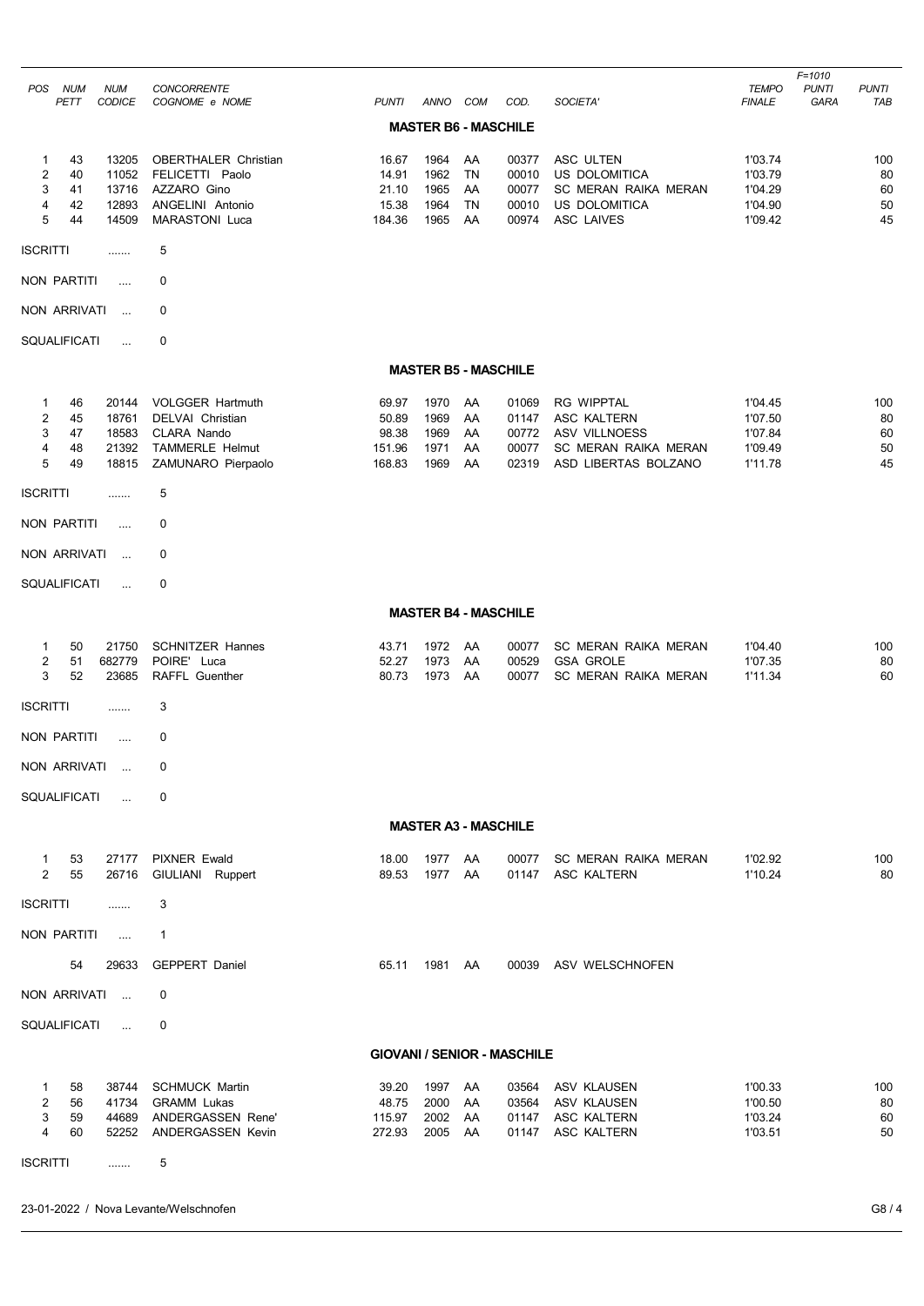|                                             |                            |                                           |                                                                                                            |                                             |                                      |                                   |                                           |                                                                                                                 |                                                     | $F = 1010$           |                             |
|---------------------------------------------|----------------------------|-------------------------------------------|------------------------------------------------------------------------------------------------------------|---------------------------------------------|--------------------------------------|-----------------------------------|-------------------------------------------|-----------------------------------------------------------------------------------------------------------------|-----------------------------------------------------|----------------------|-----------------------------|
| <b>POS</b>                                  | <b>NUM</b><br>PETT         | <b>NUM</b><br><b>CODICE</b>               | <b>CONCORRENTE</b><br>COGNOME e NOME                                                                       | <b>PUNTI</b>                                | ANNO                                 | COM                               | COD.                                      | SOCIETA'                                                                                                        | <b>TEMPO</b><br><b>FINALE</b>                       | <b>PUNTI</b><br>GARA | <b>PUNTI</b><br><b>TAB</b>  |
|                                             |                            |                                           |                                                                                                            |                                             | <b>MASTER B6 - MASCHILE</b>          |                                   |                                           |                                                                                                                 |                                                     |                      |                             |
| 1<br>$\overline{\mathbf{c}}$<br>3<br>4<br>5 | 43<br>40<br>41<br>42<br>44 | 13205<br>11052<br>13716<br>12893<br>14509 | <b>OBERTHALER Christian</b><br>FELICETTI Paolo<br>AZZARO Gino<br>ANGELINI Antonio<br><b>MARASTONI Luca</b> | 16.67<br>14.91<br>21.10<br>15.38<br>184.36  | 1964<br>1962<br>1965<br>1964<br>1965 | AA<br>TN<br>AA<br><b>TN</b><br>AA | 00377<br>00010<br>00077<br>00010<br>00974 | ASC ULTEN<br>US DOLOMITICA<br>SC MERAN RAIKA MERAN<br>US DOLOMITICA<br><b>ASC LAIVES</b>                        | 1'03.74<br>1'03.79<br>1'04.29<br>1'04.90<br>1'09.42 |                      | 100<br>80<br>60<br>50<br>45 |
| <b>ISCRITTI</b>                             |                            | .                                         | 5                                                                                                          |                                             |                                      |                                   |                                           |                                                                                                                 |                                                     |                      |                             |
| NON PARTITI                                 |                            | .                                         | 0                                                                                                          |                                             |                                      |                                   |                                           |                                                                                                                 |                                                     |                      |                             |
| NON ARRIVATI                                |                            | $\ldots$                                  | 0                                                                                                          |                                             |                                      |                                   |                                           |                                                                                                                 |                                                     |                      |                             |
| SQUALIFICATI                                |                            | $\ddotsc$                                 | $\mathbf 0$                                                                                                |                                             |                                      |                                   |                                           |                                                                                                                 |                                                     |                      |                             |
|                                             |                            |                                           |                                                                                                            |                                             | <b>MASTER B5 - MASCHILE</b>          |                                   |                                           |                                                                                                                 |                                                     |                      |                             |
| 1<br>2<br>3<br>4<br>5                       | 46<br>45<br>47<br>48<br>49 | 20144<br>18761<br>18583<br>21392<br>18815 | <b>VOLGGER Hartmuth</b><br><b>DELVAI</b> Christian<br>CLARA Nando<br>TAMMERLE Helmut<br>ZAMUNARO Pierpaolo | 69.97<br>50.89<br>98.38<br>151.96<br>168.83 | 1970<br>1969<br>1969<br>1971<br>1969 | AA<br>AA<br>AA<br>AA<br>AA        | 01069<br>01147<br>00772<br>00077<br>02319 | <b>RG WIPPTAL</b><br>ASC KALTERN<br><b>ASV VILLNOESS</b><br><b>SC MERAN RAIKA MERAN</b><br>ASD LIBERTAS BOLZANO | 1'04.45<br>1'07.50<br>1'07.84<br>1'09.49<br>1'11.78 |                      | 100<br>80<br>60<br>50<br>45 |
| <b>ISCRITTI</b>                             |                            | .                                         | 5                                                                                                          |                                             |                                      |                                   |                                           |                                                                                                                 |                                                     |                      |                             |
| <b>NON PARTITI</b>                          |                            | $\cdots$                                  | 0                                                                                                          |                                             |                                      |                                   |                                           |                                                                                                                 |                                                     |                      |                             |
| NON ARRIVATI                                |                            | $\ldots$                                  | 0                                                                                                          |                                             |                                      |                                   |                                           |                                                                                                                 |                                                     |                      |                             |
| <b>SQUALIFICATI</b>                         |                            | $\ddotsc$                                 | 0                                                                                                          |                                             |                                      |                                   |                                           |                                                                                                                 |                                                     |                      |                             |
|                                             |                            |                                           |                                                                                                            |                                             | <b>MASTER B4 - MASCHILE</b>          |                                   |                                           |                                                                                                                 |                                                     |                      |                             |
| 1<br>2<br>3                                 | 50<br>51<br>52             | 21750<br>682779<br>23685                  | <b>SCHNITZER Hannes</b><br>POIRE' Luca<br><b>RAFFL Guenther</b>                                            | 43.71<br>52.27<br>80.73                     | 1972<br>1973<br>1973                 | AA<br>AA<br>AA                    | 00077<br>00529<br>00077                   | SC MERAN RAIKA MERAN<br><b>GSA GROLE</b><br>SC MERAN RAIKA MERAN                                                | 1'04.40<br>1'07.35<br>1'11.34                       |                      | 100<br>80<br>60             |
| <b>ISCRITTI</b>                             |                            | .                                         | 3                                                                                                          |                                             |                                      |                                   |                                           |                                                                                                                 |                                                     |                      |                             |
| <b>NON PARTITI</b>                          |                            |                                           | 0                                                                                                          |                                             |                                      |                                   |                                           |                                                                                                                 |                                                     |                      |                             |
| NON ARRIVATI                                |                            | $\ddotsc$                                 | 0                                                                                                          |                                             |                                      |                                   |                                           |                                                                                                                 |                                                     |                      |                             |
| SQUALIFICATI                                |                            | $\ddotsc$                                 | 0                                                                                                          |                                             |                                      |                                   |                                           |                                                                                                                 |                                                     |                      |                             |
|                                             |                            |                                           |                                                                                                            |                                             | <b>MASTER A3 - MASCHILE</b>          |                                   |                                           |                                                                                                                 |                                                     |                      |                             |
| 1<br>2                                      | 53<br>55                   | 27177<br>26716                            | <b>PIXNER Ewald</b><br>GIULIANI Ruppert                                                                    | 18.00<br>89.53                              | 1977<br>1977                         | AA<br>AA                          | 00077<br>01147                            | SC MERAN RAIKA MERAN<br>ASC KALTERN                                                                             | 1'02.92<br>1'10.24                                  |                      | 100<br>80                   |
| <b>ISCRITTI</b>                             |                            | .                                         | 3                                                                                                          |                                             |                                      |                                   |                                           |                                                                                                                 |                                                     |                      |                             |
| NON PARTITI                                 |                            | $\ldots$                                  | $\mathbf{1}$                                                                                               |                                             |                                      |                                   |                                           |                                                                                                                 |                                                     |                      |                             |
|                                             | 54                         | 29633                                     | <b>GEPPERT Daniel</b>                                                                                      | 65.11                                       | 1981                                 | AA                                | 00039                                     | ASV WELSCHNOFEN                                                                                                 |                                                     |                      |                             |
| NON ARRIVATI                                |                            |                                           | 0                                                                                                          |                                             |                                      |                                   |                                           |                                                                                                                 |                                                     |                      |                             |
| <b>SQUALIFICATI</b>                         |                            | $\ddotsc$                                 | 0                                                                                                          |                                             |                                      |                                   |                                           |                                                                                                                 |                                                     |                      |                             |
|                                             |                            |                                           |                                                                                                            |                                             |                                      |                                   | <b>GIOVANI / SENIOR - MASCHILE</b>        |                                                                                                                 |                                                     |                      |                             |
| 1<br>2<br>3<br>4                            | 58<br>56<br>59<br>60       | 38744<br>41734<br>44689<br>52252          | <b>SCHMUCK Martin</b><br><b>GRAMM Lukas</b><br>ANDERGASSEN Rene'<br><b>ANDERGASSEN Kevin</b>               | 39.20<br>48.75<br>115.97<br>272.93          | 1997<br>2000<br>2002<br>2005         | AA<br>AA<br>AA<br>AA              | 03564<br>01147<br>01147                   | ASV KLAUSEN<br>03564 ASV KLAUSEN<br>ASC KALTERN<br>ASC KALTERN                                                  | 1'00.33<br>1'00.50<br>1'03.24<br>1'03.51            |                      | 100<br>80<br>60<br>50       |
| <b>ISCRITTI</b>                             |                            | .                                         | 5                                                                                                          |                                             |                                      |                                   |                                           |                                                                                                                 |                                                     |                      |                             |

## 23-01-2022 / Nova Levante/Welschnofen G8 / 4